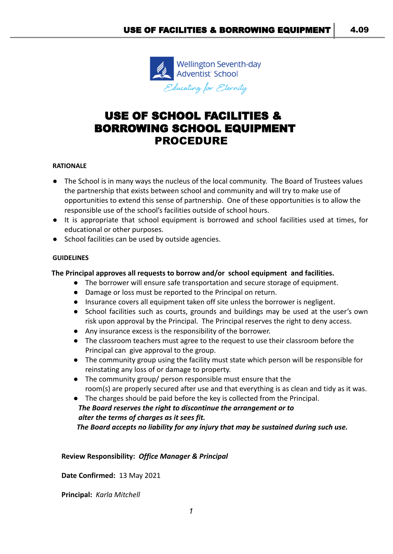

# USE OF SCHOOL FACILITIES & BORROWING SCHOOL EQUIPMENT PROCEDURE

#### **RATIONALE**

- The School is in many ways the nucleus of the local community. The Board of Trustees values the partnership that exists between school and community and will try to make use of opportunities to extend this sense of partnership. One of these opportunities is to allow the responsible use of the school's facilities outside of school hours.
- It is appropriate that school equipment is borrowed and school facilities used at times, for educational or other purposes.
- School facilities can be used by outside agencies.

#### **GUIDELINES**

#### **The Principal approves all requests to borrow and/or school equipment and facilities.**

- The borrower will ensure safe transportation and secure storage of equipment.
- Damage or loss must be reported to the Principal on return.
- Insurance covers all equipment taken off site unless the borrower is negligent.
- School facilities such as courts, grounds and buildings may be used at the user's own risk upon approval by the Principal. The Principal reserves the right to deny access.
- Any insurance excess is the responsibility of the borrower.
- The classroom teachers must agree to the request to use their classroom before the Principal can give approval to the group.
- The community group using the facility must state which person will be responsible for reinstating any loss of or damage to property.
- The community group/ person responsible must ensure that the room(s) are properly secured after use and that everything is as clean and tidy as it was.
- The charges should be paid before the key is collected from the Principal. *The Board reserves the right to discontinue the arrangement or to alter the terms of charges as it sees fit. The Board accepts no liability for any injury that may be sustained during such use.*

**Review Responsibility:** *Office Manager & Principal*

**Date Confirmed:** 13 May 2021

**Principal:** *Karla Mitchell*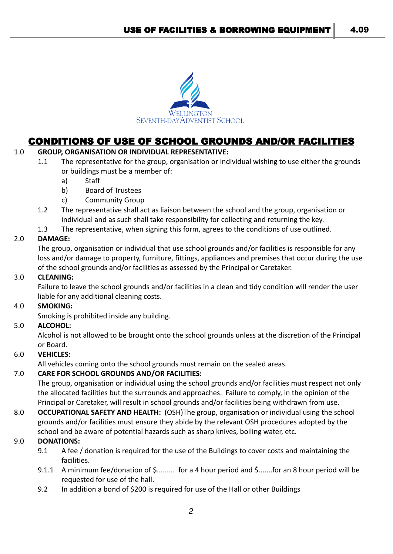

# CONDITIONS OF USE OF SCHOOL GROUNDS AND/OR FACILITIES

# 1.0 **GROUP, ORGANISATION OR INDIVIDUAL REPRESENTATIVE:**

- 1.1 The representative for the group, organisation or individual wishing to use either the grounds or buildings must be a member of:
	- a) Staff
	- b) Board of Trustees
	- c) Community Group
- 1.2 The representative shall act as liaison between the school and the group, organisation or individual and as such shall take responsibility for collecting and returning the key.
- 1.3 The representative, when signing this form, agrees to the conditions of use outlined.

### 2.0 **DAMAGE:**

The group, organisation or individual that use school grounds and/or facilities is responsible for any loss and/or damage to property, furniture, fittings, appliances and premises that occur during the use of the school grounds and/or facilities as assessed by the Principal or Caretaker.

## 3.0 **CLEANING:**

Failure to leave the school grounds and/or facilities in a clean and tidy condition will render the user liable for any additional cleaning costs.

#### 4.0 **SMOKING:**

Smoking is prohibited inside any building.

# 5.0 **ALCOHOL:**

Alcohol is not allowed to be brought onto the school grounds unless at the discretion of the Principal or Board.

# 6.0 **VEHICLES:**

All vehicles coming onto the school grounds must remain on the sealed areas.

# 7.0 **CARE FOR SCHOOL GROUNDS AND/OR FACILITIES:**

The group, organisation or individual using the school grounds and/or facilities must respect not only the allocated facilities but the surrounds and approaches. Failure to comply, in the opinion of the Principal or Caretaker, will result in school grounds and/or facilities being withdrawn from use.

8.0 **OCCUPATIONAL SAFETY AND HEALTH:** (OSH)The group, organisation or individual using the school grounds and/or facilities must ensure they abide by the relevant OSH procedures adopted by the school and be aware of potential hazards such as sharp knives, boiling water, etc.

# 9.0 **DONATIONS:**

- 9.1 A fee / donation is required for the use of the Buildings to cover costs and maintaining the facilities.
- 9.1.1 A minimum fee/donation of \$......... for a 4 hour period and \$.......for an 8 hour period will be requested for use of the hall.
- 9.2 In addition a bond of \$200 is required for use of the Hall or other Buildings